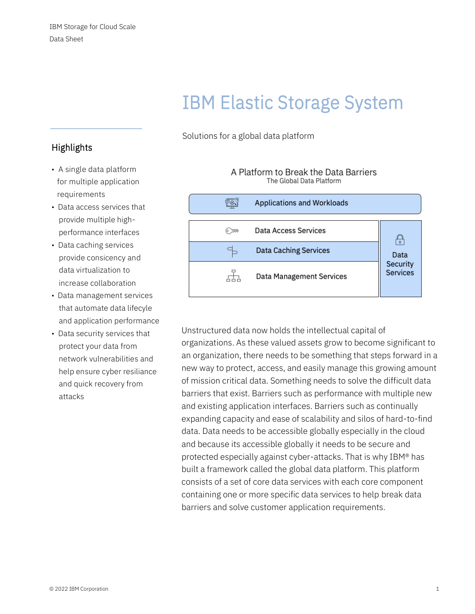# IBM Elastic Storage System

Solutions for a global data platform

# **Highlights**

- A single data platform for multiple application requirements
- Data access services that provide multiple high performance interfaces
- Data caching services provide consicency and data virtualization to increase collaboration
- Data management services that automate data lifecyle and application performance
- Data security services that protect your data from network vulnerabilities and help ensure cyber resiliance and quick recovery from attacks

| <b>Applications and Workloads</b> |                             |
|-----------------------------------|-----------------------------|
| Data Access Services              |                             |
| <b>Data Caching Services</b>      | Data                        |
| <b>Data Management Services</b>   | Security<br><b>Services</b> |

A Platform to Break the Data Barriers The Global Data Platform

Unstructured data now holds the intellectual capital of organizations. As these valued assets grow to become significant to an organization, there needs to be something that steps forward in a new way to protect, access, and easily manage this growing amount of mission critical data. Something needs to solve the difficult data barriers that exist. Barriers such as performance with multiple new and existing application interfaces. Barriers such as continually expanding capacity and ease of scalability and silos of hard-to-find data. Data needs to be accessible globally especially in the cloud and because its accessible globally it needs to be secure and protected especially against cyber-attacks. That is why IBM® has built a framework called the global data platform. This platform consists of a set of core data services with each core component containing one or more specific data services to help break data barriers and solve customer application requirements.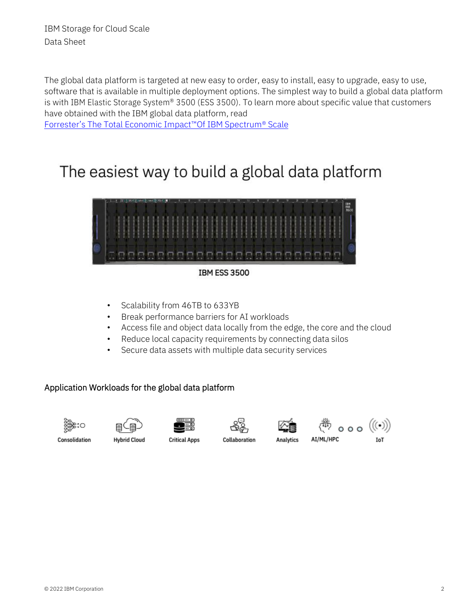The global data platform is targeted at new easy to order, easy to install, easy to upgrade, easy to use, software that is available in multiple deployment options. The simplest way to build a global data platform is with IBM Elastic Storage System® 3500 (ESS 3500). To learn more about specific value that customers have obtained with the IBM global data platform, read

[Forrester's The Total Economic Impact™Of IBM Spectrum](https://www.ibm.com/downloads/cas/KY1EY12A)® Scale

# The easiest way to build a global data platform



**IBM ESS 3500** 

- Scalability from 46TB to 633YB
- Break performance barriers for AI workloads
- Access file and object data locally from the edge, the core and the cloud
- Reduce local capacity requirements by connecting data silos
- Secure data assets with multiple data security services

#### Application Workloads for the global data platform













Consolidation

**Hybrid Cloud** 

**Critical Apps** 

Collaboration

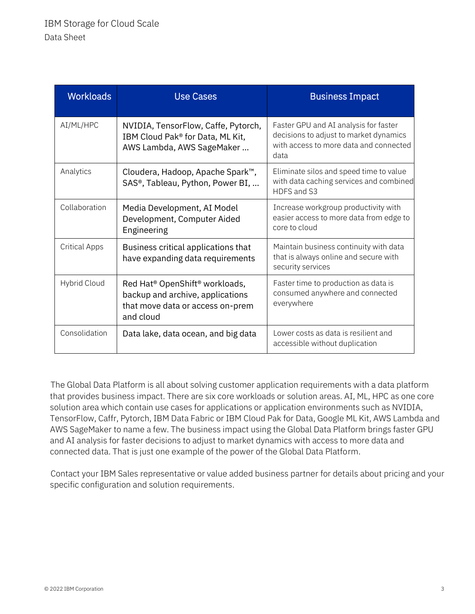| <b>Workloads</b>     | <b>Use Cases</b>                                                                                                                            | <b>Business Impact</b>                                                                                                            |
|----------------------|---------------------------------------------------------------------------------------------------------------------------------------------|-----------------------------------------------------------------------------------------------------------------------------------|
| AI/ML/HPC            | NVIDIA, TensorFlow, Caffe, Pytorch,<br>IBM Cloud Pak® for Data, ML Kit,<br>AWS Lambda, AWS SageMaker                                        | Faster GPU and AI analysis for faster<br>decisions to adjust to market dynamics<br>with access to more data and connected<br>data |
| Analytics            | Cloudera, Hadoop, Apache Spark™,<br>SAS <sup>®</sup> , Tableau, Python, Power BI,                                                           | Eliminate silos and speed time to value<br>with data caching services and combined<br>HDFS and S3                                 |
| Collaboration        | Media Development, AI Model<br>Development, Computer Aided<br>Engineering                                                                   | Increase workgroup productivity with<br>easier access to more data from edge to<br>core to cloud                                  |
| <b>Critical Apps</b> | Business critical applications that<br>have expanding data requirements                                                                     | Maintain business continuity with data<br>that is always online and secure with<br>security services                              |
| Hybrid Cloud         | Red Hat <sup>®</sup> OpenShift <sup>®</sup> workloads,<br>backup and archive, applications<br>that move data or access on-prem<br>and cloud | Faster time to production as data is<br>consumed anywhere and connected<br>everywhere                                             |
| Consolidation        | Data lake, data ocean, and big data                                                                                                         | Lower costs as data is resilient and<br>accessible without duplication                                                            |

The Global Data Platform is all about solving customer application requirements with a data platform that provides business impact. There are six core workloads or solution areas. AI, ML, HPC as one core solution area which contain use cases for applications or application environments such as NVIDIA, TensorFlow, Caffr, Pytorch, IBM Data Fabric or IBM Cloud Pak for Data, Google ML Kit, AWS Lambda and AWS SageMaker to name a few. The business impact using the Global Data Platform brings faster GPU and AI analysis for faster decisions to adjust to market dynamics with access to more data and connected data. That is just one example of the power of the Global Data Platform.

Contact your IBM Sales representative or value added business partner for details about pricing and your specific configuration and solution requirements.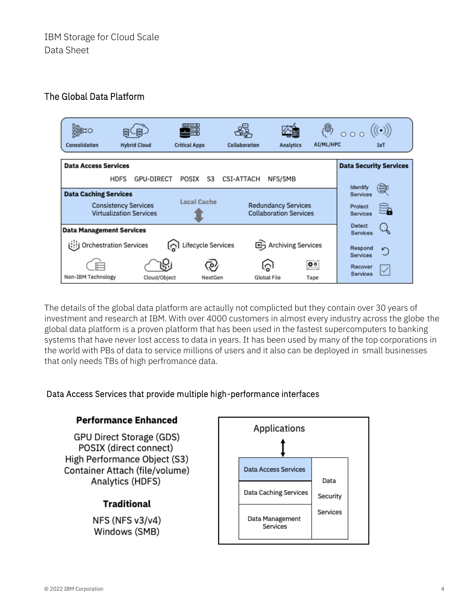### The Global Data Platform



The details of the global data platform are actaully not complicted but they contain over 30 years of investment and research at IBM. With over 4000 customers in almost every industry across the globe the global data platform is a proven platform that has been used in the fastest supercomputers to banking systems that have never lost access to data in years. It has been used by many of the top corporations in the world with PBs of data to service millions of users and it also can be deployed in small businesses that only needs TBs of high perfromance data.

#### Data Access Services that provide multiple high-performance interfaces

#### **Performance Enhanced**

GPU Direct Storage (GDS) POSIX (direct connect) High Performance Object (S3) Container Attach (file/volume) Analytics (HDFS)

#### **Traditional**

NFS (NFS v3/v4) Windows (SMB)

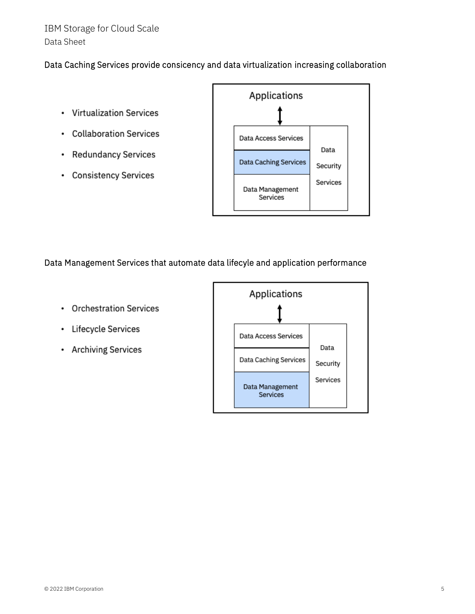# IBM Storage for Cloud Scale Data Sheet

#### Data Caching Services provide consicency and data virtualization increasing collaboration

- Virtualization Services
- Collaboration Services
- Redundancy Services
- Consistency Services



#### Data Management Services that automate data lifecyle and application performance

- Orchestration Services
- Lifecycle Services
- Archiving Services

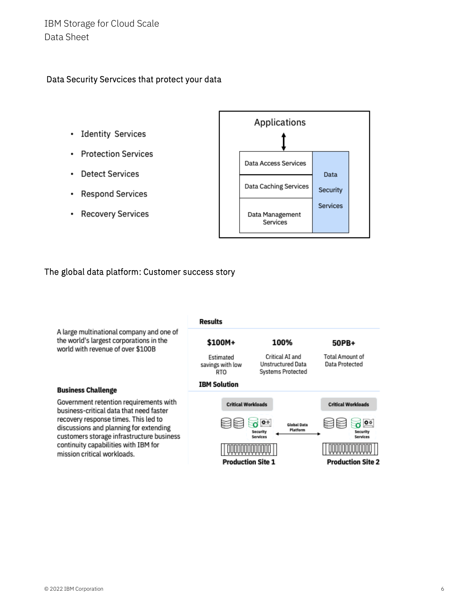# IBM Storage for Cloud Scale Data Sheet

#### Data Security Servcices that protect your data

- Identity Services
- Protection Services
- Detect Services
- Respond Services
- Recovery Services



#### The global data platform: Customer success story

|                                                                                                                                                                                                                  | Results                              |                                                                           |                                                 |
|------------------------------------------------------------------------------------------------------------------------------------------------------------------------------------------------------------------|--------------------------------------|---------------------------------------------------------------------------|-------------------------------------------------|
| A large multinational company and one of<br>the world's largest corporations in the<br>world with revenue of over \$100B                                                                                         | \$100M+                              | 100%                                                                      | 50PB+                                           |
|                                                                                                                                                                                                                  | Estimated<br>savings with low<br>RTO | Critical AI and<br>Unstructured Data<br>Systems Protected                 | Total Amount of<br>Data Protected               |
| <b>Business Challenge</b>                                                                                                                                                                                        | <b>IBM Solution</b>                  |                                                                           |                                                 |
| Government retention requirements with<br>business-critical data that need faster<br>recovery response times. This led to<br>discussions and planning for extending<br>customers storage infrastructure business | <b>Critical Workloads</b>            |                                                                           | <b>Critical Workloads</b>                       |
|                                                                                                                                                                                                                  |                                      | $\overline{\mathbf{o}}$<br>Global Data<br>Platform<br>Securit<br>Services | $\overline{\mathbf{0}}$<br>Security<br>Services |
| continuity capabilities with IBM for<br>mission critical workloads.                                                                                                                                              |                                      |                                                                           |                                                 |
|                                                                                                                                                                                                                  | <b>Production Site 1</b>             |                                                                           | <b>Production Site 2</b>                        |